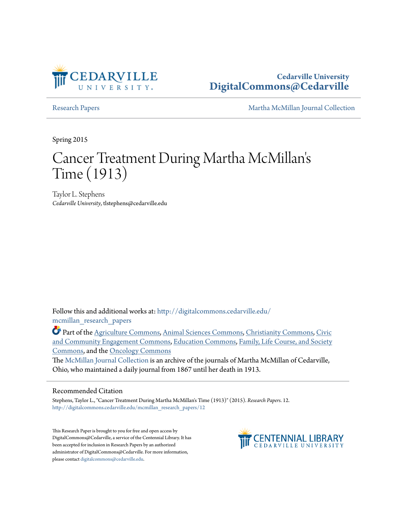

**Cedarville University [DigitalCommons@Cedarville](http://digitalcommons.cedarville.edu?utm_source=digitalcommons.cedarville.edu%2Fmcmillan_research_papers%2F12&utm_medium=PDF&utm_campaign=PDFCoverPages)**

[Research Papers](http://digitalcommons.cedarville.edu/mcmillan_research_papers?utm_source=digitalcommons.cedarville.edu%2Fmcmillan_research_papers%2F12&utm_medium=PDF&utm_campaign=PDFCoverPages) [Martha McMillan Journal Collection](http://digitalcommons.cedarville.edu/mcmillan_journal_collection?utm_source=digitalcommons.cedarville.edu%2Fmcmillan_research_papers%2F12&utm_medium=PDF&utm_campaign=PDFCoverPages)

Spring 2015

# Cancer Treatment During Martha McMillan ' s Time (1913)

Taylor L. Stephens *Cedarville University*, tlstephens@cedarville.edu

Follow this and additional works at: [http://digitalcommons.cedarville.edu/](http://digitalcommons.cedarville.edu/mcmillan_research_papers?utm_source=digitalcommons.cedarville.edu%2Fmcmillan_research_papers%2F12&utm_medium=PDF&utm_campaign=PDFCoverPages) [mcmillan\\_research\\_papers](http://digitalcommons.cedarville.edu/mcmillan_research_papers?utm_source=digitalcommons.cedarville.edu%2Fmcmillan_research_papers%2F12&utm_medium=PDF&utm_campaign=PDFCoverPages)

Part of the [Agriculture Commons](http://network.bepress.com/hgg/discipline/1076?utm_source=digitalcommons.cedarville.edu%2Fmcmillan_research_papers%2F12&utm_medium=PDF&utm_campaign=PDFCoverPages), [Animal Sciences Commons,](http://network.bepress.com/hgg/discipline/76?utm_source=digitalcommons.cedarville.edu%2Fmcmillan_research_papers%2F12&utm_medium=PDF&utm_campaign=PDFCoverPages) [Christianity Commons](http://network.bepress.com/hgg/discipline/1181?utm_source=digitalcommons.cedarville.edu%2Fmcmillan_research_papers%2F12&utm_medium=PDF&utm_campaign=PDFCoverPages), [Civic](http://network.bepress.com/hgg/discipline/1028?utm_source=digitalcommons.cedarville.edu%2Fmcmillan_research_papers%2F12&utm_medium=PDF&utm_campaign=PDFCoverPages) [and Community Engagement Commons,](http://network.bepress.com/hgg/discipline/1028?utm_source=digitalcommons.cedarville.edu%2Fmcmillan_research_papers%2F12&utm_medium=PDF&utm_campaign=PDFCoverPages) [Education Commons,](http://network.bepress.com/hgg/discipline/784?utm_source=digitalcommons.cedarville.edu%2Fmcmillan_research_papers%2F12&utm_medium=PDF&utm_campaign=PDFCoverPages) [Family, Life Course, and Society](http://network.bepress.com/hgg/discipline/419?utm_source=digitalcommons.cedarville.edu%2Fmcmillan_research_papers%2F12&utm_medium=PDF&utm_campaign=PDFCoverPages) [Commons,](http://network.bepress.com/hgg/discipline/419?utm_source=digitalcommons.cedarville.edu%2Fmcmillan_research_papers%2F12&utm_medium=PDF&utm_campaign=PDFCoverPages) and the [Oncology Commons](http://network.bepress.com/hgg/discipline/694?utm_source=digitalcommons.cedarville.edu%2Fmcmillan_research_papers%2F12&utm_medium=PDF&utm_campaign=PDFCoverPages)

The [McMillan Journal Collection](http://digitalcommons.cedarville.edu/mcmillan_journal_collection/) is an archive of the journals of Martha McMillan of Cedarville, Ohio, who maintained a daily journal from 1867 until her death in 1913.

### Recommended Citation

Stephens, Taylor L., "Cancer Treatment During Martha McMillan's Time (1913)" (2015). *Research Papers*. 12. [http://digitalcommons.cedarville.edu/mcmillan\\_research\\_papers/12](http://digitalcommons.cedarville.edu/mcmillan_research_papers/12?utm_source=digitalcommons.cedarville.edu%2Fmcmillan_research_papers%2F12&utm_medium=PDF&utm_campaign=PDFCoverPages)

This Research Paper is brought to you for free and open access by DigitalCommons@Cedarville, a service of the Centennial Library. It has been accepted for inclusion in Research Papers by an authorized administrator of DigitalCommons@Cedarville. For more information, please contact [digitalcommons@cedarville.edu.](mailto:digitalcommons@cedarville.edu)

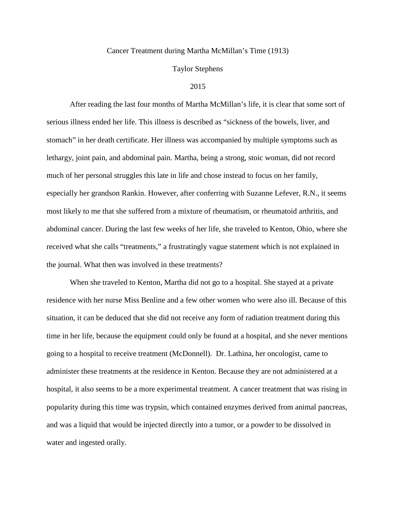### Cancer Treatment during Martha McMillan's Time (1913)

## Taylor Stephens

#### 2015

After reading the last four months of Martha McMillan's life, it is clear that some sort of serious illness ended her life. This illness is described as "sickness of the bowels, liver, and stomach" in her death certificate. Her illness was accompanied by multiple symptoms such as lethargy, joint pain, and abdominal pain. Martha, being a strong, stoic woman, did not record much of her personal struggles this late in life and chose instead to focus on her family, especially her grandson Rankin. However, after conferring with Suzanne Lefever, R.N., it seems most likely to me that she suffered from a mixture of rheumatism, or rheumatoid arthritis, and abdominal cancer. During the last few weeks of her life, she traveled to Kenton, Ohio, where she received what she calls "treatments," a frustratingly vague statement which is not explained in the journal. What then was involved in these treatments?

When she traveled to Kenton, Martha did not go to a hospital. She stayed at a private residence with her nurse Miss Benline and a few other women who were also ill. Because of this situation, it can be deduced that she did not receive any form of radiation treatment during this time in her life, because the equipment could only be found at a hospital, and she never mentions going to a hospital to receive treatment (McDonnell). Dr. Lathina, her oncologist, came to administer these treatments at the residence in Kenton. Because they are not administered at a hospital, it also seems to be a more experimental treatment. A cancer treatment that was rising in popularity during this time was trypsin, which contained enzymes derived from animal pancreas, and was a liquid that would be injected directly into a tumor, or a powder to be dissolved in water and ingested orally.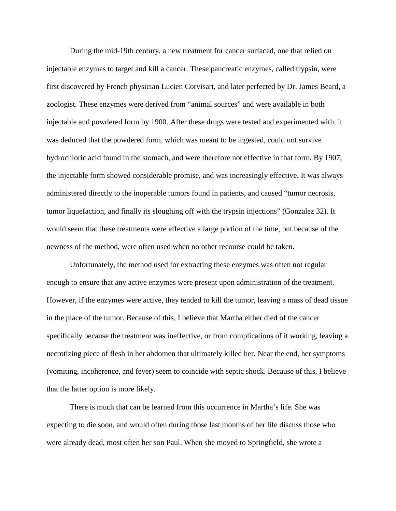During the mid-19th century, a new treatment for cancer surfaced, one that relied on injectable enzymes to target and kill a cancer. These pancreatic enzymes, called trypsin, were first discovered by French physician Lucien Corvisart, and later perfected by Dr. James Beard, a zoologist. These enzymes were derived from "animal sources" and were available in both injectable and powdered form by 1900. After these drugs were tested and experimented with, it was deduced that the powdered form, which was meant to be ingested, could not survive hydrochloric acid found in the stomach, and were therefore not effective in that form. By 1907, the injectable form showed considerable promise, and was increasingly effective. It was always administered directly to the inoperable tumors found in patients, and caused "tumor necrosis, tumor liquefaction, and finally its sloughing off with the trypsin injections" (Gonzalez 32). It would seem that these treatments were effective a large portion of the time, but because of the newness of the method, were often used when no other recourse could be taken.

Unfortunately, the method used for extracting these enzymes was often not regular enough to ensure that any active enzymes were present upon administration of the treatment. However, if the enzymes were active, they tended to kill the tumor, leaving a mass of dead tissue in the place of the tumor. Because of this, I believe that Martha either died of the cancer specifically because the treatment was ineffective, or from complications of it working, leaving a necrotizing piece of flesh in her abdomen that ultimately killed her. Near the end, her symptoms (vomiting, incoherence, and fever) seem to coincide with septic shock. Because of this, I believe that the latter option is more likely.

There is much that can be learned from this occurrence in Martha's life. She was expecting to die soon, and would often during those last months of her life discuss those who were already dead, most often her son Paul. When she moved to Springfield, she wrote a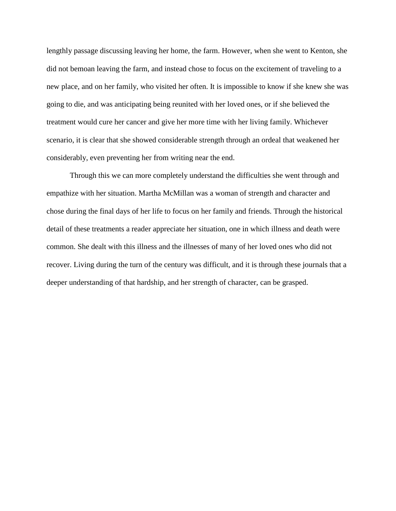lengthly passage discussing leaving her home, the farm. However, when she went to Kenton, she did not bemoan leaving the farm, and instead chose to focus on the excitement of traveling to a new place, and on her family, who visited her often. It is impossible to know if she knew she was going to die, and was anticipating being reunited with her loved ones, or if she believed the treatment would cure her cancer and give her more time with her living family. Whichever scenario, it is clear that she showed considerable strength through an ordeal that weakened her considerably, even preventing her from writing near the end.

Through this we can more completely understand the difficulties she went through and empathize with her situation. Martha McMillan was a woman of strength and character and chose during the final days of her life to focus on her family and friends. Through the historical detail of these treatments a reader appreciate her situation, one in which illness and death were common. She dealt with this illness and the illnesses of many of her loved ones who did not recover. Living during the turn of the century was difficult, and it is through these journals that a deeper understanding of that hardship, and her strength of character, can be grasped.